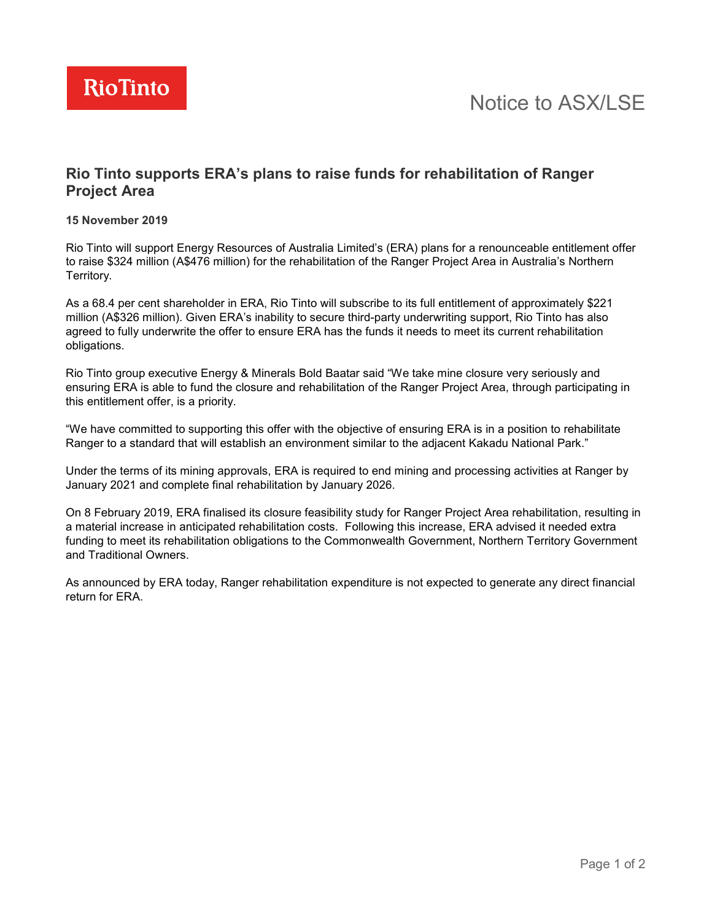

# **Rio Tinto supports ERA's plans to raise funds for rehabilitation of Ranger Project Area**

### **15 November 2019**

Rio Tinto will support Energy Resources of Australia Limited's (ERA) plans for a renounceable entitlement offer to raise \$324 million (A\$476 million) for the rehabilitation of the Ranger Project Area in Australia's Northern Territory.

As a 68.4 per cent shareholder in ERA, Rio Tinto will subscribe to its full entitlement of approximately \$221 million (A\$326 million). Given ERA's inability to secure third-party underwriting support, Rio Tinto has also agreed to fully underwrite the offer to ensure ERA has the funds it needs to meet its current rehabilitation obligations.

Rio Tinto group executive Energy & Minerals Bold Baatar said "We take mine closure very seriously and ensuring ERA is able to fund the closure and rehabilitation of the Ranger Project Area, through participating in this entitlement offer, is a priority.

"We have committed to supporting this offer with the objective of ensuring ERA is in a position to rehabilitate Ranger to a standard that will establish an environment similar to the adjacent Kakadu National Park."

Under the terms of its mining approvals, ERA is required to end mining and processing activities at Ranger by January 2021 and complete final rehabilitation by January 2026.

On 8 February 2019, ERA finalised its closure feasibility study for Ranger Project Area rehabilitation, resulting in a material increase in anticipated rehabilitation costs. Following this increase, ERA advised it needed extra funding to meet its rehabilitation obligations to the Commonwealth Government, Northern Territory Government and Traditional Owners.

As announced by ERA today, Ranger rehabilitation expenditure is not expected to generate any direct financial return for ERA.